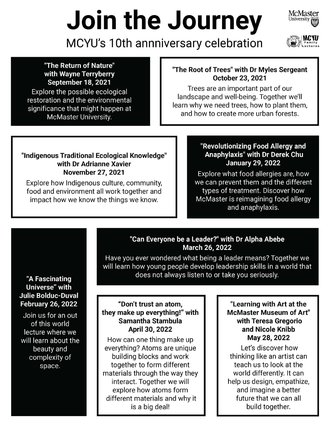# **Join the Journey**





**MCYU's 10th annniversary celebration** 

## **September 18, 2021**

Explore the possible ecological restoration and the environmental significance that might happen at McMaster University.

#### **"The Return of Nature" "The Root of Trees" with Dr Myles Sergeant**  With Wayne Terryberry **Contract the Coulumn of the Root of Trees** with Driving with Wayne Terry of the Coulumn of the Coulumn of the Coulumn of the Coulumn of the Coulumn of the Coulumn of the Coulumn of the Coulumn of the

Trees are an important part of our landscape and well-being. Together we'll learn why we need trees, how to plant them, and how to create more urban forests.

### **"Indigenous Traditional Ecological Knowledge" with Dr Adrianne Xavier**

Explore how Indigenous culture, community, food and environment all work together and impact how we know the things we know.

#### **"Revolutionizing Food Allergy and Anaphylaxis" with Dr Derek Chu January 29, 2022**

**November 27, 2021 Explore what food allergies are, how** we can prevent them and the different types of treatment. Discover how McMaster is reimagining food allergy and anaphylaxis.

#### **"Can Everyone be a Leader?" with Dr Alpha Abebe March 26, 2022**

Have you ever wondered what being a leader means? Together we will learn how young people develop leadership skills in a world that does not always listen to or take you seriously.

#### **"Don't trust an atom, they make up everything!" with Samantha Stambula April 30, 2022**

How can one thing make up everything? Atoms are unique building blocks and work together to form different materials through the way they interact. Together we will explore how atoms form different materials and why it is a big deal!

#### **"Learning with Art at the McMaster Museum of Art" with Teresa Gregorio and Nicole Knibb May 28, 2022**

Let's discover how thinking like an artist can teach us to look at the world differently. It can help us design, empathize, and imagine a better future that we can all build together.

#### **"A Fascinating Universe" with Julie Bolduc-Duval February 26, 2022**

Join us for an out of this world lecture where we will learn about the beauty and complexity of space.